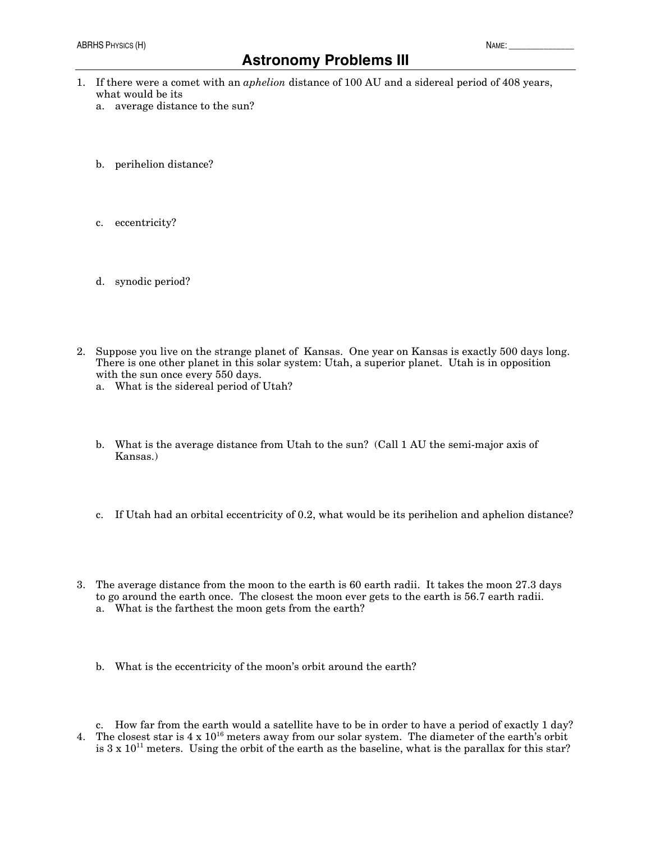## **Astronomy Problems III**

- 1. If there were a comet with an *aphelion* distance of 100 AU and a sidereal period of 408 years, what would be its
	- a. average distance to the sun?
	- b. perihelion distance?
	- c. eccentricity?
	- d. synodic period?
- 2. Suppose you live on the strange planet of Kansas. One year on Kansas is exactly 500 days long. There is one other planet in this solar system: Utah, a superior planet. Utah is in opposition with the sun once every 550 days.
	- a. What is the sidereal period of Utah?
	- b. What is the average distance from Utah to the sun? (Call 1 AU the semi-major axis of Kansas.)
	- c. If Utah had an orbital eccentricity of 0.2, what would be its perihelion and aphelion distance?
- 3. The average distance from the moon to the earth is 60 earth radii. It takes the moon 27.3 days to go around the earth once. The closest the moon ever gets to the earth is 56.7 earth radii. a. What is the farthest the moon gets from the earth?
	- b. What is the eccentricity of the moon's orbit around the earth?

c. How far from the earth would a satellite have to be in order to have a period of exactly 1 day? 4. The closest star is  $4 \times 10^{16}$  meters away from our solar system. The diameter of the earth's orbit is  $3 \times 10^{11}$  meters. Using the orbit of the earth as the baseline, what is the parallax for this star?